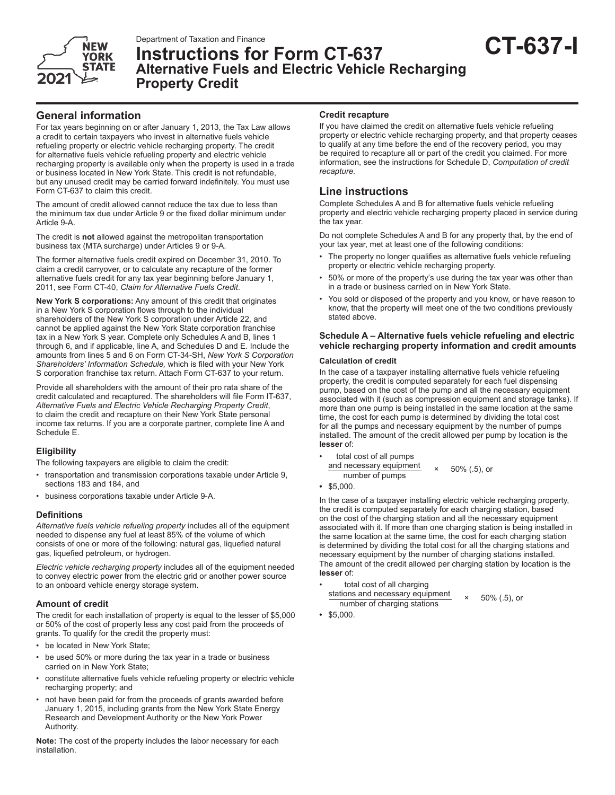

# Department of Taxation and Finance<br>Instructions for Form CT-637 **CT-637 Alternative Fuels and Electric Vehicle Recharging Property Credit**

# **General information**

For tax years beginning on or after January 1, 2013, the Tax Law allows a credit to certain taxpayers who invest in alternative fuels vehicle refueling property or electric vehicle recharging property. The credit for alternative fuels vehicle refueling property and electric vehicle recharging property is available only when the property is used in a trade or business located in New York State. This credit is not refundable, but any unused credit may be carried forward indefinitely. You must use Form CT-637 to claim this credit.

The amount of credit allowed cannot reduce the tax due to less than the minimum tax due under Article 9 or the fixed dollar minimum under Article 9-A.

The credit is **not** allowed against the metropolitan transportation business tax (MTA surcharge) under Articles 9 or 9-A.

The former alternative fuels credit expired on December 31, 2010. To claim a credit carryover, or to calculate any recapture of the former alternative fuels credit for any tax year beginning before January 1, 2011, see Form CT-40, *Claim for Alternative Fuels Credit*.

**New York S corporations:** Any amount of this credit that originates in a New York S corporation flows through to the individual shareholders of the New York S corporation under Article 22, and cannot be applied against the New York State corporation franchise tax in a New York S year. Complete only Schedules A and B, lines 1 through 6, and if applicable, line A, and Schedules D and E. Include the amounts from lines 5 and 6 on Form CT-34-SH, *New York S Corporation Shareholders' Information Schedule,* which is filed with your New York S corporation franchise tax return. Attach Form CT-637 to your return.

Provide all shareholders with the amount of their pro rata share of the credit calculated and recaptured. The shareholders will file Form IT-637, *Alternative Fuels and Electric Vehicle Recharging Property Credit*, to claim the credit and recapture on their New York State personal income tax returns. If you are a corporate partner, complete line A and Schedule E.

# **Eligibility**

The following taxpayers are eligible to claim the credit:

- transportation and transmission corporations taxable under Article 9, sections 183 and 184, and
- business corporations taxable under Article 9-A.

#### **Definitions**

*Alternative fuels vehicle refueling property* includes all of the equipment needed to dispense any fuel at least 85% of the volume of which consists of one or more of the following: natural gas, liquefied natural gas, liquefied petroleum, or hydrogen.

*Electric vehicle recharging property* includes all of the equipment needed to convey electric power from the electric grid or another power source to an onboard vehicle energy storage system.

# **Amount of credit**

The credit for each installation of property is equal to the lesser of \$5,000 or 50% of the cost of property less any cost paid from the proceeds of grants. To qualify for the credit the property must:

- be located in New York State;
- be used 50% or more during the tax year in a trade or business carried on in New York State;
- constitute alternative fuels vehicle refueling property or electric vehicle recharging property; and
- not have been paid for from the proceeds of grants awarded before January 1, 2015, including grants from the New York State Energy Research and Development Authority or the New York Power Authority.

**Note:** The cost of the property includes the labor necessary for each installation.

### **Credit recapture**

If you have claimed the credit on alternative fuels vehicle refueling property or electric vehicle recharging property, and that property ceases to qualify at any time before the end of the recovery period, you may be required to recapture all or part of the credit you claimed. For more information, see the instructions for Schedule D, *Computation of credit recapture.*

# **Line instructions**

Complete Schedules A and B for alternative fuels vehicle refueling property and electric vehicle recharging property placed in service during the tax year.

Do not complete Schedules A and B for any property that, by the end of your tax year, met at least one of the following conditions:

- The property no longer qualifies as alternative fuels vehicle refueling property or electric vehicle recharging property.
- 50% or more of the property's use during the tax year was other than in a trade or business carried on in New York State.
- You sold or disposed of the property and you know, or have reason to know, that the property will meet one of the two conditions previously stated above.

## **Schedule A – Alternative fuels vehicle refueling and electric vehicle recharging property information and credit amounts**

#### **Calculation of credit**

In the case of a taxpayer installing alternative fuels vehicle refueling property, the credit is computed separately for each fuel dispensing pump, based on the cost of the pump and all the necessary equipment associated with it (such as compression equipment and storage tanks). If more than one pump is being installed in the same location at the same time, the cost for each pump is determined by dividing the total cost for all the pumps and necessary equipment by the number of pumps installed. The amount of the credit allowed per pump by location is the **lesser** of:

- total cost of all pumps and necessary equipment  $\times$  50% (.5), or
- **•** \$5,000.

In the case of a taxpayer installing electric vehicle recharging property, the credit is computed separately for each charging station, based on the cost of the charging station and all the necessary equipment associated with it. If more than one charging station is being installed in the same location at the same time, the cost for each charging station is determined by dividing the total cost for all the charging stations and necessary equipment by the number of charging stations installed. The amount of the credit allowed per charging station by location is the **lesser** of:

- total cost of all charging stations and necessary equipment  $\times$  50% (.5), or number of charging stations
- \$5,000.